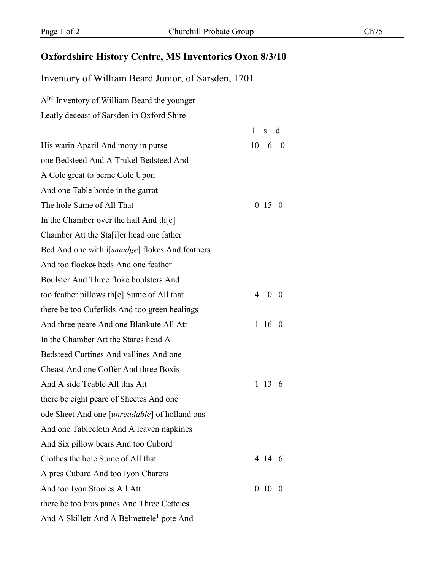## **Oxfordshire History Centre, MS Inventories Oxon 8/3/10**

Inventory of William Beard Junior, of Sarsden, 1701

A[n] Inventory of William Beard the younger

Leatly deceast of Sarsden in Oxford Shire

|                                                         | $\mathbf{1}$<br>s d             |
|---------------------------------------------------------|---------------------------------|
| His warin Aparil And mony in purse                      | 10<br>6<br>$\overline{0}$       |
| one Bedsteed And A Trukel Bedsteed And                  |                                 |
| A Cole great to berne Cole Upon                         |                                 |
| And one Table borde in the garrat                       |                                 |
| The hole Sume of All That                               | 0.15<br>$\theta$                |
| In the Chamber over the hall And the                    |                                 |
| Chamber Att the Sta[i]er head one father                |                                 |
| Bed And one with i[ <i>smudge</i> ] flokes And feathers |                                 |
| And too flockes beds And one feather                    |                                 |
| Boulster And Three floke boulsters And                  |                                 |
| too feather pillows the Sume of All that                | 4<br>$\overline{0}$<br>$\theta$ |
| there be too Cuferlids And too green healings           |                                 |
| And three peare And one Blankute All Att                | 1 16<br>$\theta$                |
| In the Chamber Att the Stares head A                    |                                 |
| Bedsteed Curtines And vallines And one                  |                                 |
| Cheast And one Coffer And three Boxis                   |                                 |
| And A side Teable All this Att                          | 1 13<br>6                       |
| there be eight peare of Sheetes And one                 |                                 |
| ode Sheet And one [ <i>unreadable</i> ] of holland ons  |                                 |
| And one Tablecloth And A leaven napkines                |                                 |
| And Six pillow bears And too Cubord                     |                                 |
| Clothes the hole Sume of All that                       | 4 14 6                          |
| A pres Cubard And too Iyon Charers                      |                                 |
| And too Iyon Stooles All Att                            | 0 <sub>10</sub><br>$\theta$     |
| there be too bras panes And Three Cetteles              |                                 |
| And A Skillett And A Belmettele <sup>1</sup> pote And   |                                 |